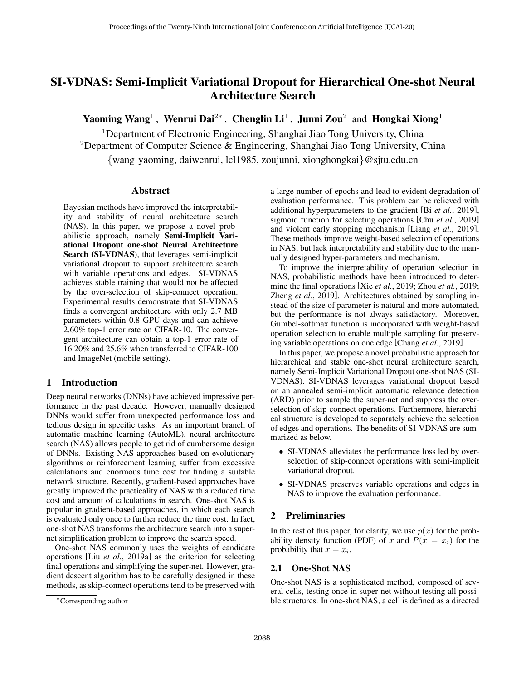# SI-VDNAS: Semi-Implicit Variational Dropout for Hierarchical One-shot Neural Architecture Search

Yaoming Wang<sup>1</sup>, Wenrui Dai<sup>2∗</sup>, Chenglin Li<sup>1</sup>, Junni Zou<sup>2</sup> and Hongkai Xiong<sup>1</sup>

<sup>1</sup>Department of Electronic Engineering, Shanghai Jiao Tong University, China <sup>2</sup>Department of Computer Science & Engineering, Shanghai Jiao Tong University, China {wang yaoming, daiwenrui, lcl1985, zoujunni, xionghongkai}@sjtu.edu.cn

## Abstract

Bayesian methods have improved the interpretability and stability of neural architecture search (NAS). In this paper, we propose a novel probabilistic approach, namely Semi-Implicit Variational Dropout one-shot Neural Architecture Search (SI-VDNAS), that leverages semi-implicit variational dropout to support architecture search with variable operations and edges. SI-VDNAS achieves stable training that would not be affected by the over-selection of skip-connect operation. Experimental results demonstrate that SI-VDNAS finds a convergent architecture with only 2.7 MB parameters within 0.8 GPU-days and can achieve 2.60% top-1 error rate on CIFAR-10. The convergent architecture can obtain a top-1 error rate of 16.20% and 25.6% when transferred to CIFAR-100 and ImageNet (mobile setting).

## 1 Introduction

Deep neural networks (DNNs) have achieved impressive performance in the past decade. However, manually designed DNNs would suffer from unexpected performance loss and tedious design in specific tasks. As an important branch of automatic machine learning (AutoML), neural architecture search (NAS) allows people to get rid of cumbersome design of DNNs. Existing NAS approaches based on evolutionary algorithms or reinforcement learning suffer from excessive calculations and enormous time cost for finding a suitable network structure. Recently, gradient-based approaches have greatly improved the practicality of NAS with a reduced time cost and amount of calculations in search. One-shot NAS is popular in gradient-based approaches, in which each search is evaluated only once to further reduce the time cost. In fact, one-shot NAS transforms the architecture search into a supernet simplification problem to improve the search speed.

One-shot NAS commonly uses the weights of candidate operations [Liu *et al.*[, 2019a\]](#page-7-0) as the criterion for selecting final operations and simplifying the super-net. However, gradient descent algorithm has to be carefully designed in these methods, as skip-connect operations tend to be preserved with a large number of epochs and lead to evident degradation of evaluation performance. This problem can be relieved with additional hyperparameters to the gradient [Bi *et al.*[, 2019\]](#page-6-0), sigmoid function for selecting operations [Chu *et al.*[, 2019\]](#page-6-1) and violent early stopping mechanism [Liang *et al.*[, 2019\]](#page-7-1). These methods improve weight-based selection of operations in NAS, but lack interpretability and stability due to the manually designed hyper-parameters and mechanism.

To improve the interpretability of operation selection in NAS, probabilistic methods have been introduced to determine the final operations [Xie *et al.*[, 2019;](#page-7-2) Zhou *et al.*[, 2019;](#page-7-3) Zheng *et al.*[, 2019\]](#page-7-4). Architectures obtained by sampling instead of the size of parameter is natural and more automated, but the performance is not always satisfactory. Moreover, Gumbel-softmax function is incorporated with weight-based operation selection to enable multiple sampling for preserving variable operations on one edge [\[Chang](#page-6-2) *et al.*, 2019].

In this paper, we propose a novel probabilistic approach for hierarchical and stable one-shot neural architecture search, namely Semi-Implicit Variational Dropout one-shot NAS (SI-VDNAS). SI-VDNAS leverages variational dropout based on an annealed semi-implicit automatic relevance detection (ARD) prior to sample the super-net and suppress the overselection of skip-connect operations. Furthermore, hierarchical structure is developed to separately achieve the selection of edges and operations. The benefits of SI-VDNAS are summarized as below.

- SI-VDNAS alleviates the performance loss led by overselection of skip-connect operations with semi-implicit variational dropout.
- SI-VDNAS preserves variable operations and edges in NAS to improve the evaluation performance.

## 2 Preliminaries

In the rest of this paper, for clarity, we use  $p(x)$  for the probability density function (PDF) of x and  $P(x = x_i)$  for the probability that  $x = x_i$ .

## 2.1 One-Shot NAS

One-shot NAS is a sophisticated method, composed of several cells, testing once in super-net without testing all possible structures. In one-shot NAS, a cell is defined as a directed

<sup>∗</sup>Corresponding author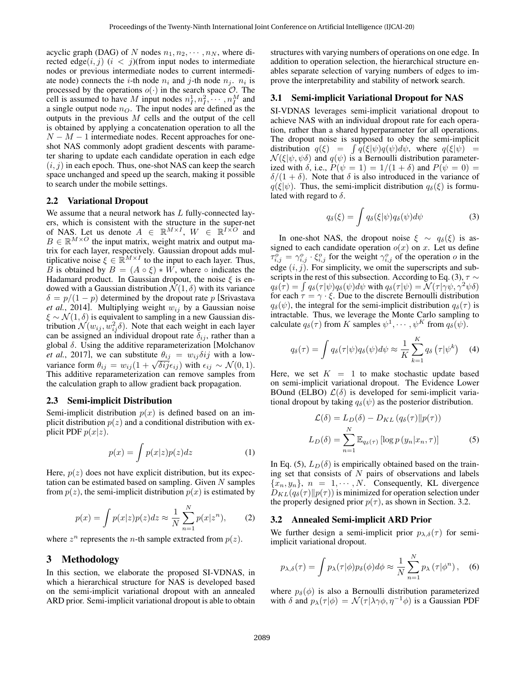acyclic graph (DAG) of N nodes  $n_1, n_2, \cdots, n_N$ , where directed edge $(i, j)$   $(i < j)$ (from input nodes to intermediate nodes or previous intermediate nodes to current intermediate node) connects the *i*-th node  $n_i$  and *j*-th node  $n_j$ .  $n_i$  is processed by the operations  $o(\cdot)$  in the search space  $\mathcal{O}$ . The cell is assumed to have M input nodes  $n_1^1, n_1^2, \cdots, n_I^M$  and a single output node  $n<sub>O</sub>$ . The input nodes are defined as the outputs in the previous  $M$  cells and the output of the cell is obtained by applying a concatenation operation to all the  $N - M - 1$  intermediate nodes. Recent approaches for oneshot NAS commonly adopt gradient descents with parameter sharing to update each candidate operation in each edge  $(i, j)$  in each epoch. Thus, one-shot NAS can keep the search space unchanged and speed up the search, making it possible to search under the mobile settings.

#### 2.2 Variational Dropout

We assume that a neural network has L fully-connected layers, which is consistent with the structure in the super-net of NAS. Let us denote  $A \in \mathbb{R}^{M \times I}$ ,  $W \in \mathbb{R}^{I \times O}$  and  $B \in \mathbb{R}^{M \times O}$  the input matrix, weight matrix and output matrix for each layer, respectively. Gaussian dropout adds multiplicative noise  $\xi \in \mathbb{R}^{M \times I}$  to the input to each layer. Thus, B is obtained by  $B = (A \circ \xi) * W$ , where  $\circ$  indicates the Hadamard product. In Gaussian dropout, the noise  $\xi$  is endowed with a Gaussian distribution  $\mathcal{N}(1,\delta)$  with its variance  $\delta = p/(1-p)$  determined by the dropout rate p [\[Srivastava](#page-7-5) *et al.*[, 2014\]](#page-7-5). Multiplying weight  $w_{ij}$  by a Gaussian noise  $\xi \sim \mathcal{N}(1, \delta)$  is equivalent to sampling in a new Gaussian distribution  $\mathcal{N}(w_{ij}, w_{ij}^2 \delta)$ . Note that each weight in each layer can be assigned an individual dropout rate  $\delta_{ij}$ , rather than a global  $\delta$ . Using the additive reparameterization [\[Molchanov](#page-7-6) *et al.*[, 2017\]](#page-7-6), we can substitute  $\theta_{ij} = w_{ij} \delta{ij}$  with a lowvariance form  $\theta_{ij} = w_{ij} (1 + \sqrt{\delta i j} \epsilon_{ij})$  with  $\epsilon_{ij} \sim \mathcal{N}(0, 1)$ . This additive reparameterization can remove samples from the calculation graph to allow gradient back propagation.

#### 2.3 Semi-implicit Distribution

Semi-implicit distribution  $p(x)$  is defined based on an implicit distribution  $p(z)$  and a conditional distribution with explicit PDF  $p(x|z)$ .

$$
p(x) = \int p(x|z)p(z)dz
$$
 (1)

Here,  $p(z)$  does not have explicit distribution, but its expectation can be estimated based on sampling. Given  $N$  samples from  $p(z)$ , the semi-implicit distribution  $p(x)$  is estimated by

$$
p(x) = \int p(x|z)p(z)dz \approx \frac{1}{N} \sum_{n=1}^{N} p(x|z^n),
$$
 (2)

where  $z^n$  represents the *n*-th sample extracted from  $p(z)$ .

#### 3 Methodology

In this section, we elaborate the proposed SI-VDNAS, in which a hierarchical structure for NAS is developed based on the semi-implicit variational dropout with an annealed ARD prior. Semi-implicit variational dropout is able to obtain structures with varying numbers of operations on one edge. In addition to operation selection, the hierarchical structure enables separate selection of varying numbers of edges to improve the interpretability and stability of network search.

#### 3.1 Semi-implicit Variational Dropout for NAS

SI-VDNAS leverages semi-implicit variational dropout to achieve NAS with an individual dropout rate for each operation, rather than a shared hyperparameter for all operations. The dropout noise is supposed to obey the semi-implicit distribution  $q(\xi) = \int \overline{q(\xi|\psi)q(\psi)d\psi}$ , where  $q(\xi|\psi) =$  $\mathcal{N}(\xi|\psi,\psi\delta)$  and  $q(\psi)$  is a Bernoulli distribution parameterized with  $\delta$ , i.e.,  $P(\psi = 1) = 1/(1 + \delta)$  and  $P(\psi = 0) =$  $\delta/(1+\delta)$ . Note that  $\delta$  is also introduced in the variance of  $q(\xi|\psi)$ . Thus, the semi-implicit distribution  $q_{\delta}(\xi)$  is formulated with regard to  $\delta$ .

<span id="page-1-3"></span><span id="page-1-0"></span>
$$
q_{\delta}(\xi) = \int q_{\delta}(\xi|\psi) q_{\delta}(\psi) d\psi \tag{3}
$$

In one-shot NAS, the dropout noise  $\xi \sim q_\delta(\xi)$  is assigned to each candidate operation  $o(x)$  on x. Let us define  $\tau_{i,j}^{\sigma} = \gamma_{i,j}^{\sigma} \cdot \xi_{i,j}^{\sigma}$  for the weight  $\gamma_{i,j}^{\sigma}$  of the operation  $\sigma$  in the edge  $(i, j)$ . For simplicity, we omit the superscripts and sub-scripts in the rest of this subsection. According to Eq. [\(3\)](#page-1-0),  $\tau \sim$  $q_\delta(\tau) = \int q_\delta(\tau | \psi) q_\delta(\psi) d\psi$  with  $q_\delta(\tau | \psi) = \mathcal{N}(\tau | \gamma \psi, \gamma^2 \psi \delta)$ for each  $\tau = \gamma \cdot \xi$ . Due to the discrete Bernoulli distribution  $q_\delta(\psi)$ , the integral for the semi-implicit distribution  $q_\delta(\tau)$  is intractable. Thus, we leverage the Monte Carlo sampling to calculate  $q_\delta(\tau)$  from K samples  $\psi^1, \cdots, \psi^K$  from  $q_\delta(\psi)$ .

$$
q_{\delta}(\tau) = \int q_{\delta}(\tau|\psi)q_{\delta}(\psi)d\psi \approx \frac{1}{K} \sum_{k=1}^{K} q_{\delta}(\tau|\psi^{k}) \quad (4)
$$

Here, we set  $K = 1$  to make stochastic update based on semi-implicit variational dropout. The Evidence Lower BOund (ELBO)  $\mathcal{L}(\delta)$  is developed for semi-implicit variational dropout by taking  $q_\delta(\psi)$  as the posterior distribution.

<span id="page-1-1"></span>
$$
\mathcal{L}(\delta) = L_D(\delta) - D_{KL}(q_{\delta}(\tau) || p(\tau))
$$

$$
L_D(\delta) = \sum_{n=1}^{N} \mathbb{E}_{q_{\delta}(\tau)} [\log p(y_n | x_n, \tau)] \tag{5}
$$

In Eq. [\(5\)](#page-1-1),  $L_D(\delta)$  is empirically obtained based on the training set that consists of  $N$  pairs of observations and labels  ${x_n, y_n}$ ,  $n = 1, \dots, N$ . Consequently, KL divergence  $D_{KL}(q_\delta(\tau) \| p(\tau))$  is minimized for operation selection under the properly designed prior  $p(\tau)$ , as shown in Section. [3.2.](#page-1-2)

#### <span id="page-1-2"></span>3.2 Annealed Semi-implicit ARD Prior

We further design a semi-implicit prior  $p_{\lambda,\delta}(\tau)$  for semiimplicit variational dropout.

<span id="page-1-4"></span>
$$
p_{\lambda,\delta}(\tau) = \int p_{\lambda}(\tau|\phi) p_{\delta}(\phi) d\phi \approx \frac{1}{N} \sum_{n=1}^{N} p_{\lambda}(\tau|\phi^n), \quad (6)
$$

where  $p_{\delta}(\phi)$  is also a Bernoulli distribution parameterized with  $\delta$  and  $p_{\lambda}(\tau | \phi) = \mathcal{N}(\tau | \lambda \gamma \phi, \eta^{-1} \phi)$  is a Gaussian PDF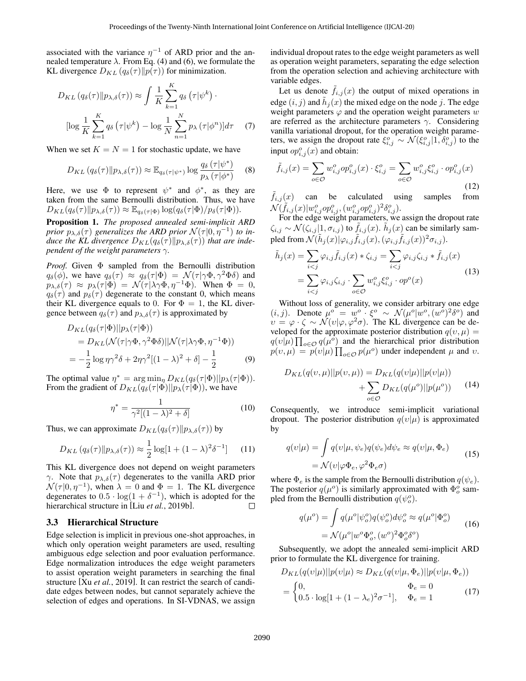associated with the variance  $\eta^{-1}$  of ARD prior and the annealed temperature  $\lambda$ . From Eq. [\(4\)](#page-1-3) and [\(6\)](#page-1-4), we formulate the KL divergence  $D_{KL} (q_\delta(\tau) || p(\tau))$  for minimization.

$$
D_{KL}(q_{\delta}(\tau)||p_{\lambda,\delta}(\tau)) \approx \int \frac{1}{K} \sum_{k=1}^{K} q_{\delta}(\tau|\psi^{k}) \cdot
$$

$$
[\log \frac{1}{K} \sum_{k=1}^{K} q_{\delta}(\tau|\psi^{k}) - \log \frac{1}{N} \sum_{n=1}^{N} p_{\lambda}(\tau|\phi^{n})] d\tau \quad (7)
$$

When we set  $K = N = 1$  for stochastic update, we have

$$
D_{KL}(q_\delta(\tau) \| p_{\lambda,\delta}(\tau)) \approx \mathbb{E}_{q_\delta(\tau|\psi^*)} \log \frac{q_\delta(\tau|\psi^*)}{p_\lambda(\tau|\phi^*)}
$$
 (8)

Here, we use  $\Phi$  to represent  $\psi^*$  and  $\phi^*$ , as they are taken from the same Bernoulli distribution. Thus, we have  $D_{KL}(q_\delta(\tau) \| p_{\lambda,\delta}(\tau)) \approx \mathbb{E}_{q_\delta(\tau | \Phi)} \log(q_\delta(\tau | \Phi) / p_\delta(\tau | \Phi)).$ 

Proposition 1. *The proposed annealed semi-implicit ARD prior*  $p_{\lambda,\delta}(\tau)$  generalizes the ARD prior  $\mathcal{N}(\tau|0,\eta^{-1})$  to in*duce the KL divergence*  $D_{KL}(q_\delta(\tau)||p_{\lambda,\delta}(\tau))$  *that are independent of the weight parameters* γ*.*

*Proof.* Given Φ sampled from the Bernoulli distribution  $q_\delta(\phi)$ , we have  $q_\delta(\tau) \approx q_\delta(\tau|\Phi) = \mathcal{N}(\tau|\gamma\Phi, \gamma^2\Phi\delta)$  and  $p_{\lambda,\delta}(\tau) \approx p_{\lambda}(\tau | \Phi) = \mathcal{N}(\tau | \lambda \gamma \Phi, \eta^{-1} \Phi)$ . When  $\Phi = 0$ ,  $q_\delta(\tau)$  and  $p_\delta(\tau)$  degenerate to the constant 0, which means their KL divergence equals to 0. For  $\Phi = 1$ , the KL divergence between  $q_\delta(\tau)$  and  $p_{\lambda,\delta}(\tau)$  is approximated by

$$
D_{KL}(q_{\delta}(\tau|\Phi)||p_{\lambda}(\tau|\Phi))
$$
  
=  $D_{KL}(\mathcal{N}(\tau|\gamma\Phi, \gamma^2\Phi\delta)||\mathcal{N}(\tau|\lambda\gamma\Phi, \eta^{-1}\Phi))$   
=  $-\frac{1}{2}\log \eta \gamma^2 \delta + 2\eta \gamma^2 [(1-\lambda)^2 + \delta] - \frac{1}{2}$  (9)

The optimal value  $\eta^* = \arg \min_{\eta} D_{KL}(q_\delta(\tau | \Phi) || p_\lambda(\tau | \Phi)).$ From the gradient of  $D_{KL}(q_\delta(\tau | \Phi)||p_\lambda(\tau | \Phi))$ , we have

$$
\eta^* = \frac{1}{\gamma^2[(1-\lambda)^2 + \delta]} \tag{10}
$$

Thus, we can approximate  $D_{KL}(q_\delta(\tau)||p_{\lambda,\delta}(\tau))$  by

$$
D_{KL}(q_\delta(\tau) \| p_{\lambda,\delta}(\tau)) \approx \frac{1}{2} \log[1 + (1 - \lambda)^2 \delta^{-1}] \qquad (11)
$$

This KL divergence does not depend on weight parameters γ. Note that  $p_{\lambda,\delta}(\tau)$  degenerates to the vanilla ARD prior  $\mathcal{N}(\tau | 0, \eta^{-1})$ , when  $\lambda = 0$  and  $\Phi = 1$ . The KL divergence degenerates to  $0.5 \cdot \log(1 + \delta^{-1})$ , which is adopted for the hierarchical structure in [Liu *et al.*[, 2019b\]](#page-7-7).  $\Box$ 

#### 3.3 Hierarchical Structure

Edge selection is implicit in previous one-shot approaches, in which only operation weight parameters are used, resulting ambiguous edge selection and poor evaluation performance. Edge normalization introduces the edge weight parameters to assist operation weight parameters in searching the final structure [Xu *et al.*[, 2019\]](#page-7-8). It can restrict the search of candidate edges between nodes, but cannot separately achieve the selection of edges and operations. In SI-VDNAS, we assign individual dropout rates to the edge weight parameters as well as operation weight parameters, separating the edge selection from the operation selection and achieving architecture with variable edges.

Let us denote  $f_{i,j}(x)$  the output of mixed operations in edge  $(i, j)$  and  $\tilde{h}_j(x)$  the mixed edge on the node j. The edge weight parameters  $\varphi$  and the operation weight parameters w are referred as the architecture parameters  $\gamma$ . Considering vanilla variational dropout, for the operation weight parameters, we assign the dropout rate  $\xi_{i,j}^o \sim \mathcal{N}(\xi_{i,j}^o | 1, \delta_{i,j}^o)$  to the input  $op_{i,j}^o(x)$  and obtain:

$$
\tilde{f}_{i,j}(x) = \sum_{o \in \mathcal{O}} w_{i,j}^o op_{i,j}^o(x) \cdot \xi_{i,j}^o = \sum_{o \in \mathcal{O}} w_{i,j}^o \xi_{i,j}^o \cdot op_{i,j}^o(x)
$$
\n(12)

 $f_{i,j}(x)$  can be calculated using samples from  $\mathcal{N}(\tilde{f}_{i,j}(x)|w^{o}_{i,j}op^{o}_{i,j},(w^{o}_{i,j}op^{o}_{i,j})^{2}\delta^{o}_{i,j}).$ 

For the edge weight parameters, we assign the dropout rate  $\zeta_{i,j} \sim \mathcal{N}(\zeta_{i,j}|1, \sigma_{i,j})$  to  $\tilde{f}_{i,j}(x)$ .  $\tilde{h}_j(x)$  can be similarly sampled from  $\mathcal{N}(\tilde{h}_j(x)|\varphi_{i,j}\tilde{f}_{i,j}(x),(\varphi_{i,j}\tilde{f}_{i,j}(x))^2\sigma_{i,j}).$ 

$$
\tilde{h}_j(x) = \sum_{i < j} \varphi_{i,j} \tilde{f}_{i,j}(x) * \zeta_{i,j} = \sum_{i < j} \varphi_{i,j} \zeta_{i,j} * \tilde{f}_{i,j}(x) \\
= \sum_{i < j} \varphi_{i,j} \zeta_{i,j} \cdot \sum_{o \in \mathcal{O}} w_{i,j}^o \xi_{i,j}^o \cdot op^o(x) \tag{13}
$$

Without loss of generality, we consider arbitrary one edge (*i, j*). Denote  $\mu^o = w^o \cdot \xi^o \sim \mathcal{N}(\mu^o | w^o, (w^o)^2 \delta^o)$  and  $v = \varphi \cdot \zeta \sim \mathcal{N}(v|\varphi, \varphi^2 \sigma)$ . The KL divergence can be developed for the approximate posterior distribution  $q(v, \mu)$  =  $q(v|\mu) \prod_{o \in \mathcal{O}} q(\mu^o)$  and the hierarchical prior distribution  $p(v, \mu) = p(v|\mu) \prod_{o \in \mathcal{O}} p(\mu^o)$  under independent  $\mu$  and  $v$ .

<span id="page-2-1"></span>
$$
D_{KL}(q(v,\mu)||p(v,\mu)) = D_{KL}(q(v|\mu)||p(v|\mu)) + \sum_{o \in \mathcal{O}} D_{KL}(q(\mu^o)||p(\mu^o)) \qquad (14)
$$

Consequently, we introduce semi-implicit variational dropout. The posterior distribution  $q(v|\mu)$  is approximated by

$$
q(v|\mu) = \int q(v|\mu, \psi_e) q(\psi_e) d\psi_e \approx q(v|\mu, \Phi_e)
$$
  
=  $\mathcal{N}(v|\varphi \Phi_e, \varphi^2 \Phi_e \sigma)$  (15)

where  $\Phi_e$  is the sample from the Bernoulli distribution  $q(\psi_e)$ . The posterior  $q(\mu^o)$  is similarly approximated with  $\Phi_o^o$  sampled from the Bernoulli distribution  $q(\psi_o^o)$ .

<span id="page-2-0"></span>
$$
q(\mu^o) = \int q(\mu^o|\psi^o_o)q(\psi^o_o)d\psi^o_o \approx q(\mu^o|\Phi^o_o)
$$
  
=  $\mathcal{N}(\mu^o|w^o\Phi^o_o,(w^o)^2\Phi^o_o\delta^o)$  (16)

Subsequently, we adopt the annealed semi-implicit ARD prior to formulate the KL divergence for training.

$$
D_{KL}(q(v|\mu)||p(v|\mu) \approx D_{KL}(q(v|\mu, \Phi_e)||p(v|\mu, \Phi_e))
$$
  
= 
$$
\begin{cases} 0, & \Phi_e = 0 \\ 0.5 \cdot \log[1 + (1 - \lambda_e)^2 \sigma^{-1}], & \Phi_e = 1 \end{cases}
$$
 (17)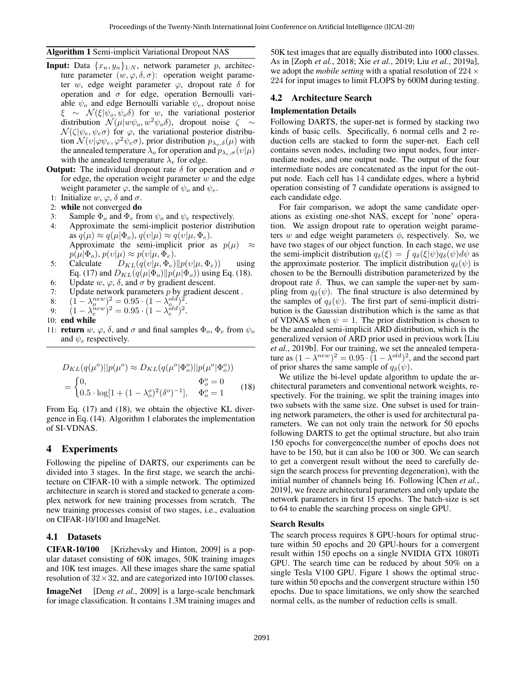#### <span id="page-3-1"></span>Algorithm 1 Semi-implicit Variational Dropout NAS

- **Input:** Data  $\{x_n, y_n\}_{1:N}$ , network parameter p, architecture parameter  $(w, \varphi, \delta, \sigma)$ : operation weight parameter w, edge weight parameter  $\varphi$ , dropout rate  $\delta$  for operation and  $\sigma$  for edge, operation Bernoulli variable  $\psi_o$  and edge Bernoulli variable  $\psi_e$ , dropout noise  $\xi \sim \mathcal{N}(\xi|\psi_o, \psi_o \delta)$  for w, the variational posterior distribution  $\mathcal{N}(\mu|w\psi_o, w^2\psi_o\delta)$ , dropout noise  $\zeta \sim$  $\mathcal{N}(\zeta|\psi_e, \psi_e \sigma)$  for  $\varphi$ , the variational posterior distribution  $\mathcal{N}(v|\varphi \psi_e, \varphi^2 \psi_e \sigma)$ , prior distribution  $p_{\lambda_o,\delta}(\mu)$  with the annealed temperature  $\lambda_o$  for operation and  $p_{\lambda_e,\sigma}(v|\mu)$ with the annealed temperature  $\lambda_e$  for edge.
- **Output:** The individual dropout rate  $\delta$  for operation and  $\sigma$ for edge, the operation weight parameter  $w$  and the edge weight parameter  $\varphi$ , the sample of  $\psi_o$  and  $\psi_e$ .
- 1: Initialize  $w, \varphi, \delta$  and  $\sigma$ .
- 2: while not converged do
- 3: Sample  $\Phi_o$  and  $\Phi_e$  from  $\psi_o$  and  $\psi_e$  respectively.
- 4: Approximate the semi-implicit posterior distribution as  $q(\mu) \approx q(\mu|\Phi_o), q(\nu|\mu) \approx q(\nu|\mu, \Phi_e).$ Approximate the semi-implicit prior as  $p(\mu) \approx$  $p(\mu|\Phi_o), p(v|\mu) \approx p(v|\mu, \Phi_e).$
- 5: Calculate  $D_{KL}(q(v|\mu, \Phi_e)||p(v|\mu, \Phi_e))$  using Eq. [\(17\)](#page-2-0) and  $D_{KL}(q(\mu|\Phi_o)||p(\mu|\Phi_o))$  using Eq. [\(18\)](#page-3-0).
- 6: Update  $w, \varphi, \delta$ , and  $\sigma$  by gradient descent.
- 7: Update network parameters  $p$  by gradient descent.
- 8:  $(1 \lambda_o^{new})^2 = 0.95 \cdot (1 \lambda_{o}^{old})^2$ .
- 9:  $(1 \lambda_e^{\bar{n}ew})^2 = 0.95 \cdot (1 \lambda_e^{\bar{o}ld})^2$ .
- 10: end while
- 11: **return** w,  $\varphi$ ,  $\delta$ , and  $\sigma$  and final samples  $\Phi_o$ ,  $\Phi_e$  from  $\psi_o$ and  $\psi_e$  respectively.

$$
D_{KL}(q(\mu^o)||p(\mu^o) \approx D_{KL}(q(\mu^o | \Phi_o^o)||p(\mu^o | \Phi_o^o))
$$
  
= 
$$
\begin{cases} 0, & \Phi_o^o = 0\\ 0.5 \cdot \log[1 + (1 - \lambda_o^o)^2(\delta^o)^{-1}], & \Phi_o^o = 1 \end{cases}
$$
 (18)

From Eq. [\(17\)](#page-2-0) and [\(18\)](#page-3-0), we obtain the objective KL divergence in Eq. [\(14\)](#page-2-1). Algorithm [1](#page-3-1) elaborates the implementation of SI-VDNAS.

#### 4 Experiments

Following the pipeline of DARTS, our experiments can be divided into 3 stages. In the first stage, we search the architecture on CIFAR-10 with a simple network. The optimized architecture in search is stored and stacked to generate a complex network for new training processes from scratch. The new training processes consist of two stages, i.e., evaluation on CIFAR-10/100 and ImageNet.

#### 4.1 Datasets

CIFAR-10/100 [\[Krizhevsky and Hinton, 2009\]](#page-7-9) is a popular dataset consisting of 60K images, 50K training images and 10K test images. All these images share the same spatial resolution of  $32 \times 32$ , and are categorized into 10/100 classes.

**ImageNet** [Deng *et al.*[, 2009\]](#page-6-3) is a large-scale benchmark for image classification. It contains 1.3M training images and 50K test images that are equally distributed into 1000 classes. As in [Zoph *et al.*[, 2018;](#page-7-10) Xie *et al.*[, 2019;](#page-7-2) Liu *et al.*[, 2019a\]](#page-7-0), we adopt the *mobile setting* with a spatial resolution of  $224 \times$ 224 for input images to limit FLOPS by 600M during testing.

## 4.2 Architecture Search

#### Implementation Details

Following DARTS, the super-net is formed by stacking two kinds of basic cells. Specifically, 6 normal cells and 2 reduction cells are stacked to form the super-net. Each cell contains seven nodes, including two input nodes, four intermediate nodes, and one output node. The output of the four intermediate nodes are concatenated as the input for the output node. Each cell has 14 candidate edges, where a hybrid operation consisting of 7 candidate operations is assigned to each candidate edge.

For fair comparison, we adopt the same candidate operations as existing one-shot NAS, except for 'none' operation. We assign dropout rate to operation weight parameters w and edge weight parameters  $\phi$ , respectively. So, we have two stages of our object function. In each stage, we use the semi-implicit distribution  $q_{\delta}(\xi) = \int q_{\delta}(\xi|\psi)q_{\delta}(\psi)d\psi$  as the approximate posterior. The implicit distribution  $q_\delta(\psi)$  is chosen to be the Bernoulli distribution parameterized by the dropout rate  $\delta$ . Thus, we can sample the super-net by sampling from  $q_{\delta}(\psi)$ . The final structure is also determined by the samples of  $q_\delta(\psi)$ . The first part of semi-implicit distribution is the Gaussian distribution which is the same as that of VDNAS when  $\psi = 1$ . The prior distribution is chosen to be the annealed semi-implicit ARD distribution, which is the generalized version of ARD prior used in previous work [\[Liu](#page-7-7) *et al.*[, 2019b\]](#page-7-7). For our training, we set the annealed temperature as  $(1 - \lambda^{new})^2 = 0.95 \cdot (1 - \lambda^{old})^2$ , and the second part of prior shares the same sample of  $q_\delta(\psi)$ .

<span id="page-3-0"></span>We utilize the bi-level update algorithm to update the architectural parameters and conventional network weights, respectively. For the training, we split the training images into two subsets with the same size. One subset is used for training network parameters, the other is used for architectural parameters. We can not only train the network for 50 epochs following DARTS to get the optimal structure, but also train 150 epochs for convergence(the number of epochs does not have to be 150, but it can also be 100 or 300. We can search to get a convergent result without the need to carefully design the search process for preventing degeneration), with the initial number of channels being 16. Following [\[Chen](#page-6-4) *et al.*, [2019\]](#page-6-4), we freeze architectural parameters and only update the network parameters in first 15 epochs. The batch-size is set to 64 to enable the searching process on single GPU.

#### Search Results

The search process requires 8 GPU-hours for optimal structure within 50 epochs and 20 GPU-hours for a convergent result within 150 epochs on a single NVIDIA GTX 1080Ti GPU. The search time can be reduced by about 50% on a single Tesla V100 GPU. Figure [1](#page-4-0) shows the optimal structure within 50 epochs and the convergent structure within 150 epochs. Due to space limitations, we only show the searched normal cells, as the number of reduction cells is small.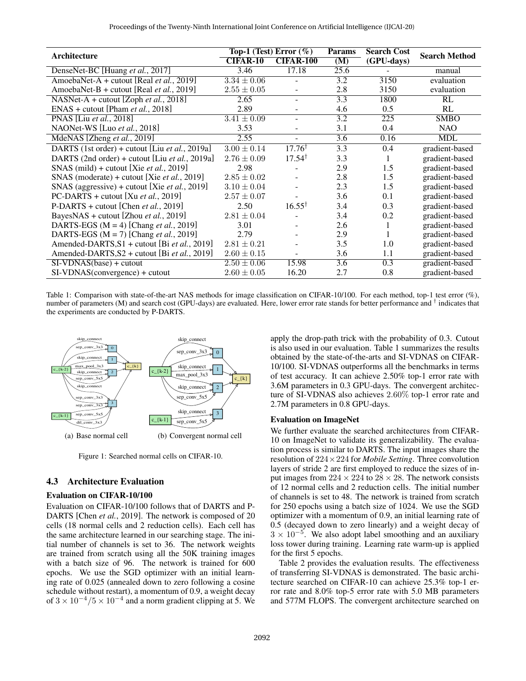<span id="page-4-1"></span>

| Architecture                                           | Top-1 (Test) Error $(\%)$ |                   | <b>Params</b>     | <b>Search Cost</b> | <b>Search Method</b> |
|--------------------------------------------------------|---------------------------|-------------------|-------------------|--------------------|----------------------|
|                                                        | <b>CIFAR-10</b>           | <b>CIFAR-100</b>  | (M)               | (GPU-days)         |                      |
| DenseNet-BC [Huang et al., 2017]                       | 3.46                      | 17.18             | $\overline{25.6}$ |                    | manual               |
| AmoebaNet-A + cutout [Real et al., 2019]               | $3.34 \pm 0.06$           |                   | 3.2               | 3150               | evaluation           |
| AmoebaNet-B + cutout [Real et al., 2019]               | $2.55\pm0.05$             | $\blacksquare$    | 2.8               | 3150               | evaluation           |
| NASNet-A + cutout [Zoph <i>et al.</i> , 2018]          | 2.65                      | $\sim$            | 3.3               | 1800               | RL                   |
| $ENAS + cutout [Pham et al., 2018]$                    | 2.89                      |                   | 4.6               | 0.5                | RL                   |
| <b>PNAS</b> [Liu et al., 2018]                         | $3.41 \pm 0.09$           | ÷.                | 3.2               | 225                | <b>SMBO</b>          |
| NAONet-WS [Luo et al., 2018]                           | 3.53                      | ÷                 | 3.1               | 0.4                | <b>NAO</b>           |
| MdeNAS [Zheng et al., 2019]                            | 2.55                      | $\sim$            | 3.6               | 0.16               | <b>MDL</b>           |
| DARTS (1st order) + cutout [Liu et al., 2019a]         | $3.00\pm0.14$             | $17.76^{\dagger}$ | 3.3               | 0.4                | gradient-based       |
| DARTS (2nd order) + cutout [Liu <i>et al.</i> , 2019a] | $2.76 \pm 0.09$           | $17.54^{\dagger}$ | 3.3               |                    | gradient-based       |
| SNAS (mild) + cutout [Xie <i>et al.</i> , 2019]        | 2.98                      |                   | 2.9               | 1.5                | gradient-based       |
| SNAS (moderate) + cutout [Xie <i>et al.</i> , 2019]    | $2.85 \pm 0.02$           | ٠                 | 2.8               | 1.5                | gradient-based       |
| SNAS (aggressive) + cutout [Xie <i>et al.</i> , 2019]  | $3.10 \pm 0.04$           |                   | 2.3               | 1.5                | gradient-based       |
| PC-DARTS + cutout [Xu et al., 2019]                    | $2.57\pm0.07$             |                   | 3.6               | 0.1                | gradient-based       |
| P-DARTS + cutout [Chen et al., 2019]                   | 2.50                      | $16.55^{\dagger}$ | 3.4               | 0.3                | gradient-based       |
| BayesNAS + cutout [Zhou et al., 2019]                  | $2.81 \pm 0.04$           |                   | 3.4               | 0.2                | gradient-based       |
| DARTS-EGS ( $M = 4$ ) [Chang <i>et al.</i> , 2019]     | 3.01                      |                   | 2.6               | 1                  | gradient-based       |
| DARTS-EGS ( $M = 7$ ) [Chang <i>et al.</i> , 2019]     | 2.79                      |                   | 2.9               |                    | gradient-based       |
| Amended-DARTS, S1 + cutout [Bi et al., 2019]           | $2.81 \pm 0.21$           |                   | 3.5               | 1.0                | gradient-based       |
| Amended-DARTS, S2 + cutout [Bi et al., 2019]           | $2.60 \pm 0.15$           |                   | 3.6               | 1.1                | gradient-based       |
| $SI-VDNAS(base) + cutout$                              | $2.50 \pm 0.06$           | 15.98             | $\overline{3.6}$  | $\overline{0.3}$   | gradient-based       |
| $SI-VDNAS$ (convergence) + cutout                      | $2.60 \pm 0.05$           | 16.20             | 2.7               | 0.8                | gradient-based       |

Table 1: Comparison with state-of-the-art NAS methods for image classification on CIFAR-10/100. For each method, top-1 test error  $(\%)$ , number of parameters (M) and search cost (GPU-days) are evaluated. Here, lower error rate stands for better performance and <sup>†</sup> indicates that the experiments are conducted by P-DARTS.

<span id="page-4-0"></span>

Figure 1: Searched normal cells on CIFAR-10.

## 4.3 Architecture Evaluation

#### Evaluation on CIFAR-10/100

Evaluation on CIFAR-10/100 follows that of DARTS and P-DARTS [Chen *et al.*[, 2019\]](#page-6-4). The network is composed of 20 cells (18 normal cells and 2 reduction cells). Each cell has the same architecture learned in our searching stage. The initial number of channels is set to 36. The network weights are trained from scratch using all the 50K training images with a batch size of 96. The network is trained for 600 epochs. We use the SGD optimizer with an initial learning rate of 0.025 (annealed down to zero following a cosine schedule without restart), a momentum of 0.9, a weight decay of  $3 \times 10^{-4} / 5 \times 10^{-4}$  and a norm gradient clipping at 5. We apply the drop-path trick with the probability of 0.3. Cutout is also used in our evaluation. Table [1](#page-4-1) summarizes the results obtained by the state-of-the-arts and SI-VDNAS on CIFAR-10/100. SI-VDNAS outperforms all the benchmarks in terms of test accuracy. It can achieve 2.50% top-1 error rate with 3.6M parameters in 0.3 GPU-days. The convergent architecture of SI-VDNAS also achieves 2.60% top-1 error rate and 2.7M parameters in 0.8 GPU-days.

#### Evaluation on ImageNet

We further evaluate the searched architectures from CIFAR-10 on ImageNet to validate its generalizability. The evaluation process is similar to DARTS. The input images share the resolution of 224×224 for *Mobile Setting*. Three convolution layers of stride 2 are first employed to reduce the sizes of input images from  $224 \times 224$  to  $28 \times 28$ . The network consists of 12 normal cells and 2 reduction cells. The initial number of channels is set to 48. The network is trained from scratch for 250 epochs using a batch size of 1024. We use the SGD optimizer with a momentum of 0.9, an initial learning rate of 0.5 (decayed down to zero linearly) and a weight decay of  $3 \times 10^{-5}$ . We also adopt label smoothing and an auxiliary loss tower during training. Learning rate warm-up is applied for the first 5 epochs.

Table [2](#page-5-0) provides the evaluation results. The effectiveness of transferring SI-VDNAS is demonstrated. The basic architecture searched on CIFAR-10 can achieve 25.3% top-1 error rate and 8.0% top-5 error rate with 5.0 MB parameters and 577M FLOPS. The convergent architecture searched on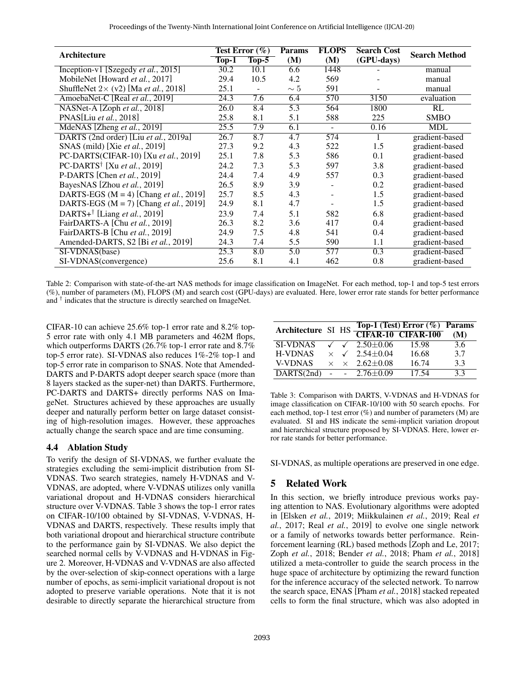<span id="page-5-0"></span>

|                                                      | Test Error $(\% )$ |                  | <b>Params</b>    | <b>FLOPS</b> | <b>Search Cost</b> |                      |
|------------------------------------------------------|--------------------|------------------|------------------|--------------|--------------------|----------------------|
| Architecture                                         | $Top-1$            | $Top-5$          | (M)              | (M)          | (GPU-days)         | <b>Search Method</b> |
| Inception-v1 [Szegedy et al., 2015]                  | 30.2               | 10.1             | 6.6              | 1448         |                    | manual               |
| MobileNet [Howard et al., 2017]                      | 29.4               | 10.5             | 4.2              | 569          |                    | manual               |
| ShuffleNet $2 \times (v2)$ [Ma <i>et al.</i> , 2018] | 25.1               |                  | $\sim 5$         | 591          |                    | manual               |
| AmoebaNet-C [Real et al., 2019]                      | 24.3               | 7.6              | 6.4              | 570          | 3150               | evaluation           |
| NASNet-A [Zoph et al., 2018]                         | 26.0               | 8.4              | 5.3              | 564          | 1800               | RL                   |
| PNAS[Liu et al., 2018]                               | 25.8               | 8.1              | 5.1              | 588          | 225                | <b>SMBO</b>          |
| MdeNAS [Zheng et al., 2019]                          | 25.5               | $\overline{7.9}$ | 6.1              | $\sim$       | 0.16               | <b>MDL</b>           |
| DARTS (2nd order) [Liu et al., 2019a]                | 26.7               | 8.7              | $\overline{4.7}$ | 574          |                    | gradient-based       |
| SNAS (mild) [Xie et al., 2019]                       | 27.3               | 9.2              | 4.3              | 522          | 1.5                | gradient-based       |
| PC-DARTS(CIFAR-10) [Xu et al., 2019]                 | 25.1               | 7.8              | 5.3              | 586          | 0.1                | gradient-based       |
| PC-DARTS <sup>†</sup> [Xu et al., 2019]              | 24.2               | 7.3              | 5.3              | 597          | 3.8                | gradient-based       |
| P-DARTS [Chen et al., 2019]                          | 24.4               | 7.4              | 4.9              | 557          | 0.3                | gradient-based       |
| BayesNAS [Zhou et al., 2019]                         | 26.5               | 8.9              | 3.9              |              | 0.2                | gradient-based       |
| DARTS-EGS ( $M = 4$ ) [Chang <i>et al.</i> , 2019]   | 25.7               | 8.5              | 4.3              |              | 1.5                | gradient-based       |
| DARTS-EGS ( $M = 7$ ) [Chang <i>et al.</i> , 2019]   | 24.9               | 8.1              | 4.7              |              | 1.5                | gradient-based       |
| DARTS+ <sup>†</sup> [Liang et al., 2019]             | 23.9               | 7.4              | 5.1              | 582          | 6.8                | gradient-based       |
| FairDARTS-A [Chu et al., 2019]                       | 26.3               | 8.2              | 3.6              | 417          | 0.4                | gradient-based       |
| FairDARTS-B [Chu et al., 2019]                       | 24.9               | 7.5              | 4.8              | 541          | 0.4                | gradient-based       |
| Amended-DARTS, S2 [Bi et al., 2019]                  | 24.3               | 7.4              | 5.5              | 590          | 1.1                | gradient-based       |
| SI-VDNAS(base)                                       | 25.3               | 8.0              | 5.0              | 577          | $\overline{0.3}$   | gradient-based       |
| SI-VDNAS(convergence)                                | 25.6               | 8.1              | 4.1              | 462          | 0.8                | gradient-based       |

Table 2: Comparison with state-of-the-art NAS methods for image classification on ImageNet. For each method, top-1 and top-5 test errors (%), number of parameters (M), FLOPS (M) and search cost (GPU-days) are evaluated. Here, lower error rate stands for better performance and † indicates that the structure is directly searched on ImageNet.

CIFAR-10 can achieve 25.6% top-1 error rate and 8.2% top-5 error rate with only 4.1 MB parameters and 462M flops, which outperforms DARTS (26.7% top-1 error rate and 8.7% top-5 error rate). SI-VDNAS also reduces 1%-2% top-1 and top-5 error rate in comparison to SNAS. Note that Amended-DARTS and P-DARTS adopt deeper search space (more than 8 layers stacked as the super-net) than DARTS. Furthermore, PC-DARTS and DARTS+ directly performs NAS on ImageNet. Structures achieved by these approaches are usually deeper and naturally perform better on large dataset consisting of high-resolution images. However, these approaches actually change the search space and are time consuming.

## 4.4 Ablation Study

To verify the design of SI-VDNAS, we further evaluate the strategies excluding the semi-implicit distribution from SI-VDNAS. Two search strategies, namely H-VDNAS and V-VDNAS, are adopted, where V-VDNAS utilizes only vanilla variational dropout and H-VDNAS considers hierarchical structure over V-VDNAS. Table [3](#page-5-1) shows the top-1 error rates on CIFAR-10/100 obtained by SI-VDNAS, V-VDNAS, H-VDNAS and DARTS, respectively. These results imply that both variational dropout and hierarchical structure contribute to the performance gain by SI-VDNAS. We also depict the searched normal cells by V-VDNAS and H-VDNAS in Figure [2.](#page-6-6) Moreover, H-VDNAS and V-VDNAS are also affected by the over-selection of skip-connect operations with a large number of epochs, as semi-implicit variational dropout is not adopted to preserve variable operations. Note that it is not desirable to directly separate the hierarchical structure from

<span id="page-5-1"></span>

| Architecture SI HS |          | Top-1 (Test) Error (%) Params<br>CIFAR-10 CIFAR-100 (M) |       |     |
|--------------------|----------|---------------------------------------------------------|-------|-----|
|                    |          |                                                         |       |     |
| <b>SI-VDNAS</b>    |          | $\sqrt{2.50 \pm 0.06}$                                  | 15.98 | 3.6 |
| <b>H-VDNAS</b>     | $\times$ | $\sqrt{2.54 \pm 0.04}$                                  | 16.68 | 3.7 |
| <b>V-VDNAS</b>     | $\times$ | $\times$ 2.62+0.08                                      | 16.74 | 3.3 |
| DARTS(2nd)         |          | $ -$ 2.76 $\pm$ 0.09                                    | 17.54 | 3.3 |

Table 3: Comparison with DARTS, V-VDNAS and H-VDNAS for image classification on CIFAR-10/100 with 50 search epochs. For each method, top-1 test error  $(\%)$  and number of parameters  $(M)$  are evaluated. SI and HS indicate the semi-implicit variation dropout and hierarchical structure proposed by SI-VDNAS. Here, lower error rate stands for better performance.

SI-VDNAS, as multiple operations are preserved in one edge.

## 5 Related Work

In this section, we briefly introduce previous works paying attention to NAS. Evolutionary algorithms were adopted in [\[Elsken](#page-6-7) *et al.*, 2019; [Miikkulainen](#page-7-18) *et al.*, 2019; [Real](#page-7-19) *et al.*[, 2017;](#page-7-19) Real *et al.*[, 2019\]](#page-7-12) to evolve one single network or a family of networks towards better performance. Reinforcement learning (RL) based methods [\[Zoph and Le, 2017;](#page-7-20) Zoph *et al.*[, 2018;](#page-7-10) [Bender](#page-6-8) *et al.*, 2018; Pham *et al.*[, 2018\]](#page-7-13) utilized a meta-controller to guide the search process in the huge space of architecture by optimizing the reward function for the inference accuracy of the selected network. To narrow the search space, ENAS [Pham *et al.*[, 2018\]](#page-7-13) stacked repeated cells to form the final structure, which was also adopted in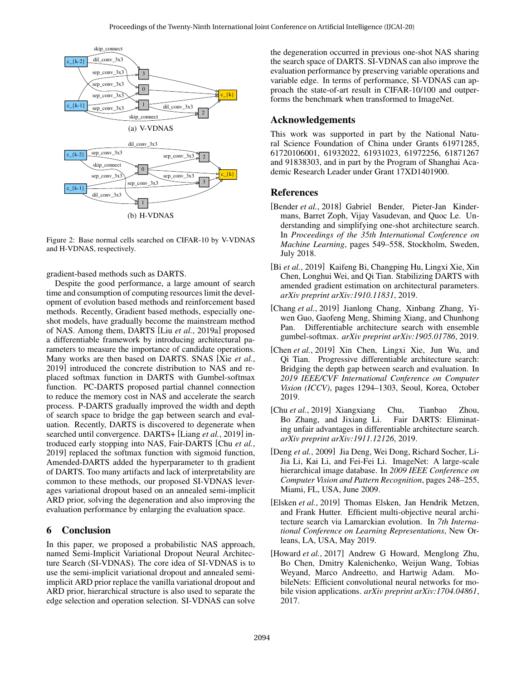<span id="page-6-6"></span>

Figure 2: Base normal cells searched on CIFAR-10 by V-VDNAS and H-VDNAS, respectively.

gradient-based methods such as DARTS.

Despite the good performance, a large amount of search time and consumption of computing resources limit the development of evolution based methods and reinforcement based methods. Recently, Gradient based methods, especially oneshot models, have gradually become the mainstream method of NAS. Among them, DARTS [Liu *et al.*[, 2019a\]](#page-7-0) proposed a differentiable framework by introducing architectural parameters to measure the importance of candidate operations. Many works are then based on DARTS. SNAS [Xie *[et al.](#page-7-2)*, [2019\]](#page-7-2) introduced the concrete distribution to NAS and replaced softmax function in DARTS with Gumbel-softmax function. PC-DARTS proposed partial channel connection to reduce the memory cost in NAS and accelerate the search process. P-DARTS gradually improved the width and depth of search space to bridge the gap between search and evaluation. Recently, DARTS is discovered to degenerate when searched until convergence. DARTS+ [Liang *et al.*[, 2019\]](#page-7-1) introduced early stopping into NAS, Fair-DARTS [Chu *[et al.](#page-6-1)*, [2019\]](#page-6-1) replaced the softmax function with sigmoid function, Amended-DARTS added the hyperparameter to th gradient of DARTS. Too many artifacts and lack of interpretability are common to these methods, our proposed SI-VDNAS leverages variational dropout based on an annealed semi-implicit ARD prior, solving the degeneration and also improving the evaluation performance by enlarging the evaluation space.

## 6 Conclusion

In this paper, we proposed a probabilistic NAS approach, named Semi-Implicit Variational Dropout Neural Architecture Search (SI-VDNAS). The core idea of SI-VDNAS is to use the semi-implicit variational dropout and annealed semiimplicit ARD prior replace the vanilla variational dropout and ARD prior, hierarchical structure is also used to separate the edge selection and operation selection. SI-VDNAS can solve the degeneration occurred in previous one-shot NAS sharing the search space of DARTS. SI-VDNAS can also improve the evaluation performance by preserving variable operations and variable edge. In terms of performance, SI-VDNAS can approach the state-of-art result in CIFAR-10/100 and outperforms the benchmark when transformed to ImageNet.

#### Acknowledgements

This work was supported in part by the National Natural Science Foundation of China under Grants 61971285, 61720106001, 61932022, 61931023, 61972256, 61871267 and 91838303, and in part by the Program of Shanghai Academic Research Leader under Grant 17XD1401900.

## References

- <span id="page-6-8"></span>[Bender *et al.*, 2018] Gabriel Bender, Pieter-Jan Kindermans, Barret Zoph, Vijay Vasudevan, and Quoc Le. Understanding and simplifying one-shot architecture search. In *Proceedings of the 35th International Conference on Machine Learning*, pages 549–558, Stockholm, Sweden, July 2018.
- <span id="page-6-0"></span>[Bi *et al.*, 2019] Kaifeng Bi, Changping Hu, Lingxi Xie, Xin Chen, Longhui Wei, and Qi Tian. Stabilizing DARTS with amended gradient estimation on architectural parameters. *arXiv preprint arXiv:1910.11831*, 2019.
- <span id="page-6-2"></span>[Chang *et al.*, 2019] Jianlong Chang, Xinbang Zhang, Yiwen Guo, Gaofeng Meng, Shiming Xiang, and Chunhong Pan. Differentiable architecture search with ensemble gumbel-softmax. *arXiv preprint arXiv:1905.01786*, 2019.
- <span id="page-6-4"></span>[Chen *et al.*, 2019] Xin Chen, Lingxi Xie, Jun Wu, and Qi Tian. Progressive differentiable architecture search: Bridging the depth gap between search and evaluation. In *2019 IEEE/CVF International Conference on Computer Vision (ICCV)*, pages 1294–1303, Seoul, Korea, October 2019.
- <span id="page-6-1"></span>[Chu *et al.*, 2019] Xiangxiang Chu, Tianbao Zhou, Bo Zhang, and Jixiang Li. Fair DARTS: Eliminating unfair advantages in differentiable architecture search. *arXiv preprint arXiv:1911.12126*, 2019.
- <span id="page-6-3"></span>[Deng *et al.*, 2009] Jia Deng, Wei Dong, Richard Socher, Li-Jia Li, Kai Li, and Fei-Fei Li. ImageNet: A large-scale hierarchical image database. In *2009 IEEE Conference on Computer Vision and Pattern Recognition*, pages 248–255, Miami, FL, USA, June 2009.
- <span id="page-6-7"></span>[Elsken *et al.*, 2019] Thomas Elsken, Jan Hendrik Metzen, and Frank Hutter. Efficient multi-objective neural architecture search via Lamarckian evolution. In *7th International Conference on Learning Representations*, New Orleans, LA, USA, May 2019.
- <span id="page-6-5"></span>[Howard *et al.*, 2017] Andrew G Howard, Menglong Zhu, Bo Chen, Dmitry Kalenichenko, Weijun Wang, Tobias Weyand, Marco Andreetto, and Hartwig Adam. MobileNets: Efficient convolutional neural networks for mobile vision applications. *arXiv preprint arXiv:1704.04861*, 2017.